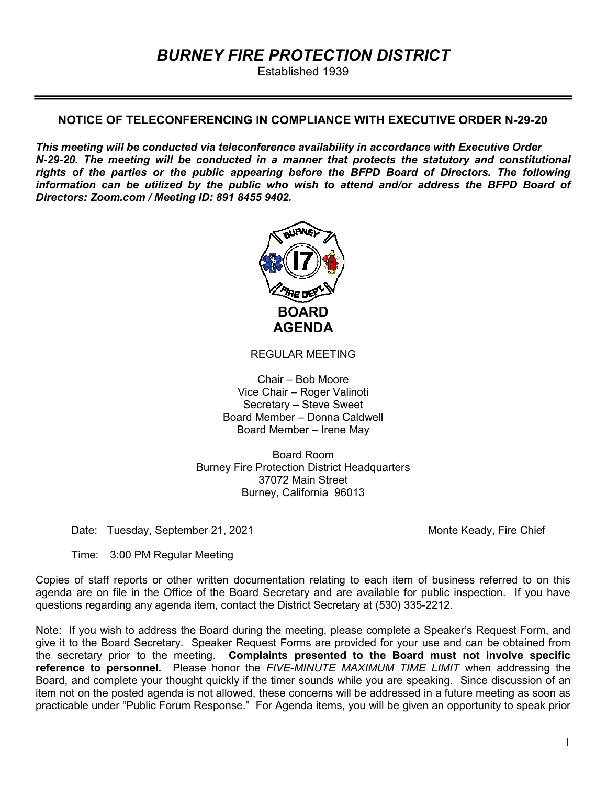# BURNEY FIRE PROTECTION DISTRICT

Established 1939

## NOTICE OF TELECONFERENCING IN COMPLIANCE WITH EXECUTIVE ORDER N-29-20

This meeting will be conducted via teleconference availability in accordance with Executive Order N-29-20. The meeting will be conducted in a manner that protects the statutory and constitutional rights of the parties or the public appearing before the BFPD Board of Directors. The following information can be utilized by the public who wish to attend and/or address the BFPD Board of Directors: Zoom.com / Meeting ID: 891 8455 9402.



REGULAR MEETING

Chair – Bob Moore Vice Chair – Roger Valinoti Secretary – Steve Sweet Board Member – Donna Caldwell Board Member – Irene May

Board Room Burney Fire Protection District Headquarters 37072 Main Street Burney, California 96013

Date: Tuesday, September 21, 2021 Monte Keady, Fire Chief

Time: 3:00 PM Regular Meeting

Copies of staff reports or other written documentation relating to each item of business referred to on this agenda are on file in the Office of the Board Secretary and are available for public inspection. If you have questions regarding any agenda item, contact the District Secretary at (530) 335-2212.

Note: If you wish to address the Board during the meeting, please complete a Speaker's Request Form, and give it to the Board Secretary. Speaker Request Forms are provided for your use and can be obtained from the secretary prior to the meeting. Complaints presented to the Board must not involve specific reference to personnel. Please honor the FIVE-MINUTE MAXIMUM TIME LIMIT when addressing the Board, and complete your thought quickly if the timer sounds while you are speaking. Since discussion of an item not on the posted agenda is not allowed, these concerns will be addressed in a future meeting as soon as practicable under "Public Forum Response." For Agenda items, you will be given an opportunity to speak prior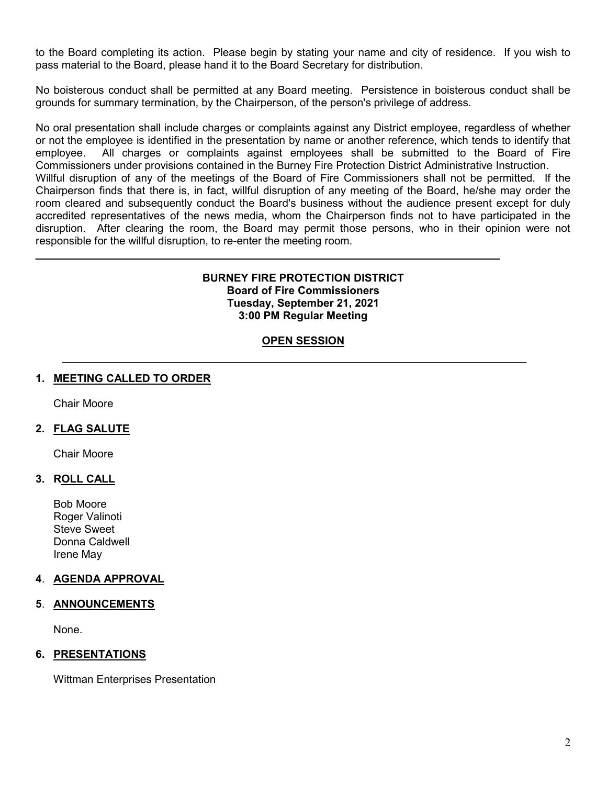to the Board completing its action. Please begin by stating your name and city of residence. If you wish to pass material to the Board, please hand it to the Board Secretary for distribution.

No boisterous conduct shall be permitted at any Board meeting. Persistence in boisterous conduct shall be grounds for summary termination, by the Chairperson, of the person's privilege of address.

No oral presentation shall include charges or complaints against any District employee, regardless of whether or not the employee is identified in the presentation by name or another reference, which tends to identify that employee. All charges or complaints against employees shall be submitted to the Board of Fire Commissioners under provisions contained in the Burney Fire Protection District Administrative Instruction. Willful disruption of any of the meetings of the Board of Fire Commissioners shall not be permitted. If the

Chairperson finds that there is, in fact, willful disruption of any meeting of the Board, he/she may order the room cleared and subsequently conduct the Board's business without the audience present except for duly accredited representatives of the news media, whom the Chairperson finds not to have participated in the disruption. After clearing the room, the Board may permit those persons, who in their opinion were not responsible for the willful disruption, to re-enter the meeting room.

## BURNEY FIRE PROTECTION DISTRICT Board of Fire Commissioners Tuesday, September 21, 2021 3:00 PM Regular Meeting

## **OPEN SESSION**

## 1. MEETING CALLED TO ORDER

Chair Moore

## 2. FLAG SALUTE

Chair Moore

## 3. ROLL CALL

Bob Moore Roger Valinoti Steve Sweet Donna Caldwell Irene May

## 4. AGENDA APPROVAL

## 5. ANNOUNCEMENTS

None.

## **6. PRESENTATIONS**

Wittman Enterprises Presentation